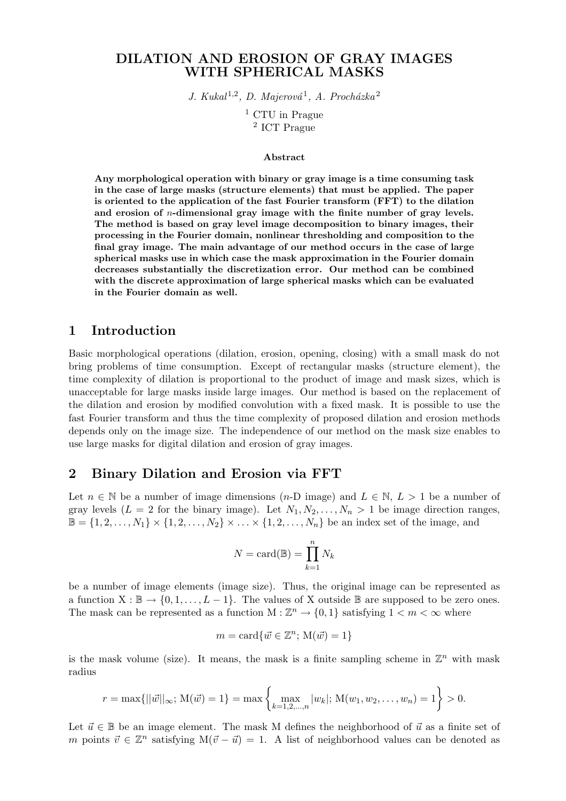#### DILATION AND EROSION OF GRAY IMAGES WITH SPHERICAL MASKS

J. Kukal<sup>1,2</sup>, D. Majerová<sup>1</sup>, A. Procházka<sup>2</sup>

<sup>1</sup> CTU in Prague 2 ICT Prague

#### Abstract

Any morphological operation with binary or gray image is a time consuming task in the case of large masks (structure elements) that must be applied. The paper is oriented to the application of the fast Fourier transform (FFT) to the dilation and erosion of n-dimensional gray image with the finite number of gray levels. The method is based on gray level image decomposition to binary images, their processing in the Fourier domain, nonlinear thresholding and composition to the final gray image. The main advantage of our method occurs in the case of large spherical masks use in which case the mask approximation in the Fourier domain decreases substantially the discretization error. Our method can be combined with the discrete approximation of large spherical masks which can be evaluated in the Fourier domain as well.

#### 1 Introduction

Basic morphological operations (dilation, erosion, opening, closing) with a small mask do not bring problems of time consumption. Except of rectangular masks (structure element), the time complexity of dilation is proportional to the product of image and mask sizes, which is unacceptable for large masks inside large images. Our method is based on the replacement of the dilation and erosion by modified convolution with a fixed mask. It is possible to use the fast Fourier transform and thus the time complexity of proposed dilation and erosion methods depends only on the image size. The independence of our method on the mask size enables to use large masks for digital dilation and erosion of gray images.

## 2 Binary Dilation and Erosion via FFT

Let  $n \in \mathbb{N}$  be a number of image dimensions  $(n-D \text{ image})$  and  $L \in \mathbb{N}, L > 1$  be a number of gray levels  $(L = 2$  for the binary image). Let  $N_1, N_2, \ldots, N_n > 1$  be image direction ranges,  $\mathbb{B} = \{1, 2, \ldots, N_1\} \times \{1, 2, \ldots, N_2\} \times \ldots \times \{1, 2, \ldots, N_n\}$  be an index set of the image, and

$$
N = \text{card}(\mathbb{B}) = \prod_{k=1}^{n} N_k
$$

be a number of image elements (image size). Thus, the original image can be represented as a function  $X : \mathbb{B} \to \{0, 1, \ldots, L-1\}$ . The values of X outside  $\mathbb{B}$  are supposed to be zero ones. The mask can be represented as a function  $M : \mathbb{Z}^n \to \{0,1\}$  satisfying  $1 < m < \infty$  where

$$
m = \text{card}\{\vec{w} \in \mathbb{Z}^n; \, \mathcal{M}(\vec{w}) = 1\}
$$

is the mask volume (size). It means, the mask is a finite sampling scheme in  $\mathbb{Z}^n$  with mask radius

$$
r = \max\{||\vec{w}||_{\infty}; \, \mathcal{M}(\vec{w}) = 1\} = \max\left\{\max_{k=1,2,...,n} |w_k|; \, \mathcal{M}(w_1, w_2, \dots, w_n) = 1\right\} > 0.
$$

Let  $\vec{u} \in \mathbb{B}$  be an image element. The mask M defines the neighborhood of  $\vec{u}$  as a finite set of m points  $\vec{v} \in \mathbb{Z}^n$  satisfying  $M(\vec{v} - \vec{u}) = 1$ . A list of neighborhood values can be denoted as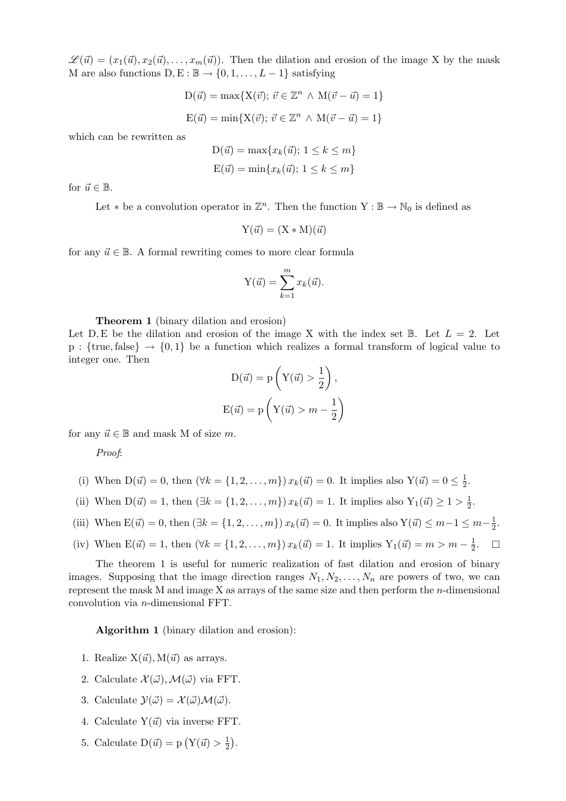$\mathscr{L}(\vec{u}) = (x_1(\vec{u}), x_2(\vec{u}), \dots, x_m(\vec{u}))$ . Then the dilation and erosion of the image X by the mask M are also functions  $D, E : \mathbb{B} \to \{0, 1, \ldots, L-1\}$  satisfying

$$
D(\vec{u}) = \max\{X(\vec{v}); \ \vec{v} \in \mathbb{Z}^n \land M(\vec{v} - \vec{u}) = 1\}
$$

$$
E(\vec{u}) = \min\{X(\vec{v}); \ \vec{v} \in \mathbb{Z}^n \land M(\vec{v} - \vec{u}) = 1\}
$$

which can be rewritten as

$$
D(\vec{u}) = \max\{x_k(\vec{u}); 1 \le k \le m\}
$$

$$
E(\vec{u}) = \min\{x_k(\vec{u}); 1 \le k \le m\}
$$

for  $\vec{u} \in \mathbb{B}$ .

Let  $*$  be a convolution operator in  $\mathbb{Z}^n$ . Then the function  $Y : \mathbb{B} \to \mathbb{N}_0$  is defined as

$$
Y(\vec{u}) = (X * M)(\vec{u})
$$

for any  $\vec{u} \in \mathbb{B}$ . A formal rewriting comes to more clear formula

$$
Y(\vec{u}) = \sum_{k=1}^{m} x_k(\vec{u}).
$$

Theorem 1 (binary dilation and erosion)

Let D, E be the dilation and erosion of the image X with the index set  $\mathbb{B}$ . Let  $L = 2$ . Let  $p:$  {true, false}  $\rightarrow$  {0, 1} be a function which realizes a formal transform of logical value to integer one. Then  $\mathbf{r}$ 

$$
D(\vec{u}) = p\left(Y(\vec{u}) > \frac{1}{2}\right),
$$
  

$$
E(\vec{u}) = p\left(Y(\vec{u}) > m - \frac{1}{2}\right)
$$

for any  $\vec{u} \in \mathbb{B}$  and mask M of size m.

Proof:

- (i) When  $D(\vec{u}) = 0$ , then  $(\forall k = \{1, 2, ..., m\}) x_k(\vec{u}) = 0$ . It implies also  $Y(\vec{u}) = 0 \le \frac{1}{2}$  $\frac{1}{2}$ .
- (ii) When  $D(\vec{u}) = 1$ , then  $(\exists k = \{1, 2, ..., m\}) x_k(\vec{u}) = 1$ . It implies also  $Y_1(\vec{u}) \ge 1 > \frac{1}{2}$  $\frac{1}{2}$ .
- (iii) When  $E(\vec{u}) = 0$ , then  $(\exists k = \{1, 2, ..., m\}) x_k(\vec{u}) = 0$ . It implies also  $Y(\vec{u}) \le m-1 \le m-\frac{1}{2}$  $\frac{1}{2}$ .

(iv) When 
$$
E(\vec{u}) = 1
$$
, then  $(\forall k = \{1, 2, ..., m\}) x_k(\vec{u}) = 1$ . It implies  $Y_1(\vec{u}) = m > m - \frac{1}{2}$ .  $\Box$ 

The theorem 1 is useful for numeric realization of fast dilation and erosion of binary images. Supposing that the image direction ranges  $N_1, N_2, \ldots, N_n$  are powers of two, we can represent the mask M and image  $X$  as arrays of the same size and then perform the *n*-dimensional convolution via n-dimensional FFT.

Algorithm 1 (binary dilation and erosion):

- 1. Realize  $X(\vec{u})$ ,  $M(\vec{u})$  as arrays.
- 2. Calculate  $\mathcal{X}(\vec{\omega}), \mathcal{M}(\vec{\omega})$  via FFT.
- 3. Calculate  $\mathcal{Y}(\vec{\omega}) = \mathcal{X}(\vec{\omega})\mathcal{M}(\vec{\omega}).$
- 4. Calculate  $Y(\vec{u})$  via inverse FFT.
- 5. Calculate  $D(\vec{u}) = p(Y(\vec{u}) > \frac{1}{2})$  $\overline{2}$ ¢ .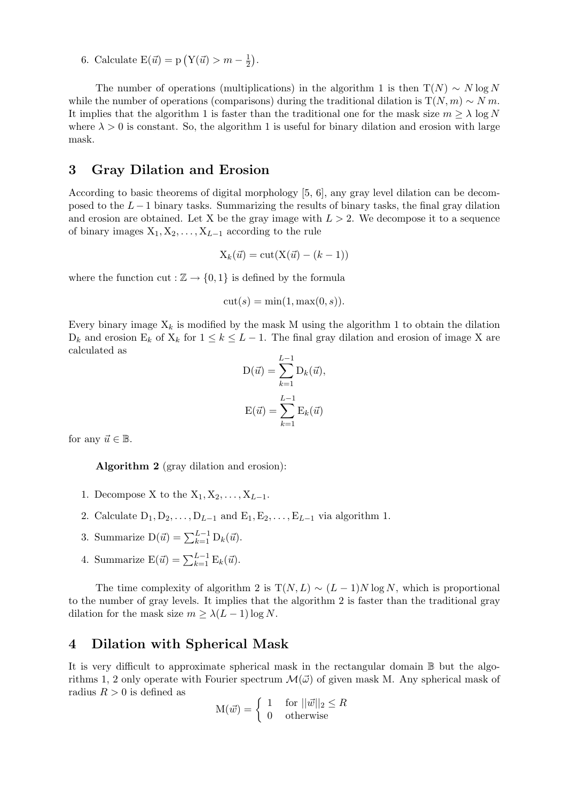6. Calculate  $E(\vec{u}) = p(Y(\vec{u}) > m - \frac{1}{2})$  $\overline{2}$ ¢ .

The number of operations (multiplications) in the algorithm 1 is then  $T(N) \sim N \log N$ while the number of operations (comparisons) during the traditional dilation is  $T(N, m) \sim N m$ . It implies that the algorithm 1 is faster than the traditional one for the mask size  $m > \lambda \log N$ where  $\lambda > 0$  is constant. So, the algorithm 1 is useful for binary dilation and erosion with large mask.

### 3 Gray Dilation and Erosion

According to basic theorems of digital morphology [5, 6], any gray level dilation can be decomposed to the  $L-1$  binary tasks. Summarizing the results of binary tasks, the final gray dilation and erosion are obtained. Let X be the gray image with  $L > 2$ . We decompose it to a sequence of binary images  $X_1, X_2, \ldots, X_{L-1}$  according to the rule

$$
X_k(\vec{u}) = \text{cut}(X(\vec{u}) - (k-1))
$$

where the function cut :  $\mathbb{Z} \to \{0,1\}$  is defined by the formula

$$
cut(s) = min(1, max(0, s)).
$$

Every binary image  $X_k$  is modified by the mask M using the algorithm 1 to obtain the dilation  $D_k$  and erosion  $E_k$  of  $X_k$  for  $1 \leq k \leq L-1$ . The final gray dilation and erosion of image X are calculated as

$$
D(\vec{u}) = \sum_{k=1}^{L-1} D_k(\vec{u}),
$$

$$
E(\vec{u}) = \sum_{k=1}^{L-1} E_k(\vec{u})
$$

for any  $\vec{u} \in \mathbb{B}$ .

Algorithm 2 (gray dilation and erosion):

- 1. Decompose X to the  $X_1, X_2, \ldots, X_{L-1}$ .
- 2. Calculate  $D_1, D_2, \ldots, D_{L-1}$  and  $E_1, E_2, \ldots, E_{L-1}$  via algorithm 1.
- 3. Summarize  $D(\vec{u}) = \sum_{k=1}^{L-1} D_k(\vec{u}).$
- 4. Summarize  $E(\vec{u}) = \sum_{k=1}^{L-1} E_k(\vec{u}).$

The time complexity of algorithm 2 is  $T(N, L) \sim (L - 1)N \log N$ , which is proportional to the number of gray levels. It implies that the algorithm 2 is faster than the traditional gray dilation for the mask size  $m \geq \lambda(L-1)\log N$ .

### 4 Dilation with Spherical Mask

It is very difficult to approximate spherical mask in the rectangular domain B but the algorithms 1, 2 only operate with Fourier spectrum  $\mathcal{M}(\vec{\omega})$  of given mask M. Any spherical mask of radius  $R > 0$  is defined as

$$
M(\vec{w}) = \begin{cases} 1 & \text{for } ||\vec{w}||_2 \le R \\ 0 & \text{otherwise} \end{cases}
$$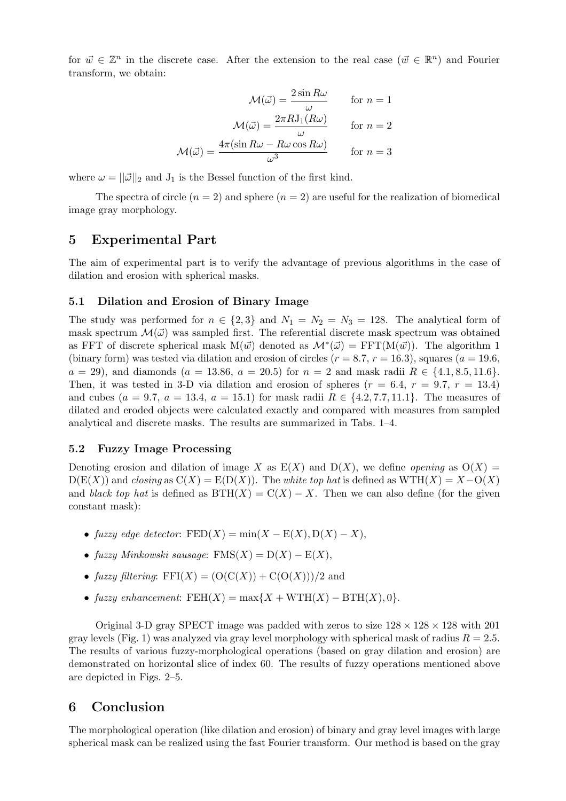for  $\vec{w} \in \mathbb{Z}^n$  in the discrete case. After the extension to the real case  $(\vec{w} \in \mathbb{R}^n)$  and Fourier transform, we obtain:

$$
\mathcal{M}(\vec{\omega}) = \frac{2 \sin R\omega}{\omega} \quad \text{for } n = 1
$$

$$
\mathcal{M}(\vec{\omega}) = \frac{2\pi R J_1(R\omega)}{\omega} \quad \text{for } n = 2
$$

$$
\mathcal{M}(\vec{\omega}) = \frac{4\pi (\sin R\omega - R\omega \cos R\omega)}{\omega^3} \quad \text{for } n = 3
$$

where  $\omega = ||\vec{\omega}||_2$  and  $J_1$  is the Bessel function of the first kind.

The spectra of circle  $(n = 2)$  and sphere  $(n = 2)$  are useful for the realization of biomedical image gray morphology.

### 5 Experimental Part

The aim of experimental part is to verify the advantage of previous algorithms in the case of dilation and erosion with spherical masks.

#### 5.1 Dilation and Erosion of Binary Image

The study was performed for  $n \in \{2,3\}$  and  $N_1 = N_2 = N_3 = 128$ . The analytical form of mask spectrum  $\mathcal{M}(\vec{\omega})$  was sampled first. The referential discrete mask spectrum was obtained as FFT of discrete spherical mask  $M(\vec{w})$  denoted as  $\mathcal{M}^*(\vec{\omega}) = FFT(M(\vec{w}))$ . The algorithm 1 (binary form) was tested via dilation and erosion of circles  $(r = 8.7, r = 16.3)$ , squares  $(a = 19.6,$  $a = 29$ , and diamonds  $(a = 13.86, a = 20.5)$  for  $n = 2$  and mask radii  $R \in \{4.1, 8.5, 11.6\}$ . Then, it was tested in 3-D via dilation and erosion of spheres  $(r = 6.4, r = 9.7, r = 13.4)$ and cubes ( $a = 9.7$ ,  $a = 13.4$ ,  $a = 15.1$ ) for mask radii  $R \in \{4.2, 7.7, 11.1\}$ . The measures of dilated and eroded objects were calculated exactly and compared with measures from sampled analytical and discrete masks. The results are summarized in Tabs. 1–4.

#### 5.2 Fuzzy Image Processing

Denoting erosion and dilation of image X as  $E(X)$  and  $D(X)$ , we define *opening* as  $O(X)$  =  $D(E(X))$  and closing as  $C(X) = E(D(X))$ . The white top hat is defined as  $WTH(X) = X-O(X)$ and black top hat is defined as  $BTH(X) = C(X) - X$ . Then we can also define (for the given constant mask):

- fuzzy edge detector:  $\text{FED}(X) = \min(X \text{E}(X), \text{D}(X) X),$
- fuzzy Minkowski sausage:  $\text{FMS}(X) = D(X) E(X)$ ,
- fuzzy filtering:  $FFI(X) = (O(C(X)) + C(O(X)))/2$  and
- fuzzy enhancement:  $FEH(X) = \max\{X + WTH(X) BTH(X), 0\}.$

Original 3-D gray SPECT image was padded with zeros to size  $128 \times 128 \times 128$  with 201 gray levels (Fig. 1) was analyzed via gray level morphology with spherical mask of radius  $R = 2.5$ . The results of various fuzzy-morphological operations (based on gray dilation and erosion) are demonstrated on horizontal slice of index 60. The results of fuzzy operations mentioned above are depicted in Figs. 2–5.

#### 6 Conclusion

The morphological operation (like dilation and erosion) of binary and gray level images with large spherical mask can be realized using the fast Fourier transform. Our method is based on the gray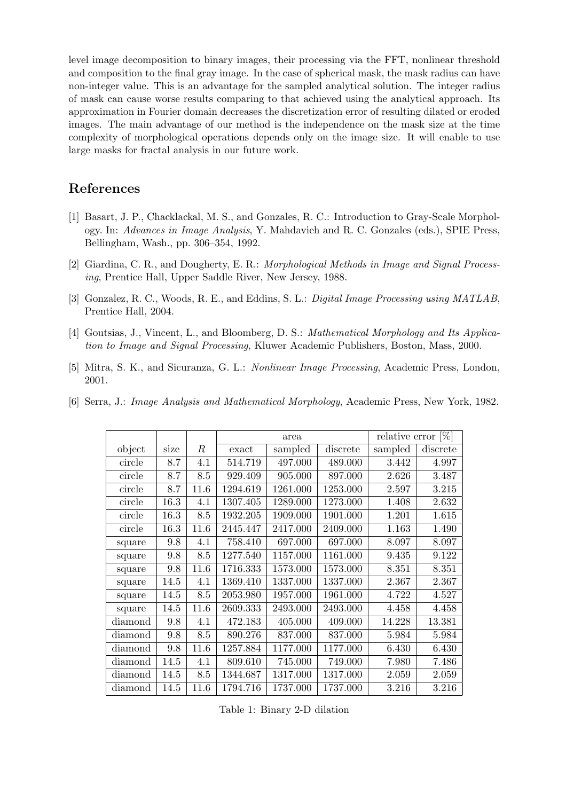level image decomposition to binary images, their processing via the FFT, nonlinear threshold and composition to the final gray image. In the case of spherical mask, the mask radius can have non-integer value. This is an advantage for the sampled analytical solution. The integer radius of mask can cause worse results comparing to that achieved using the analytical approach. Its approximation in Fourier domain decreases the discretization error of resulting dilated or eroded images. The main advantage of our method is the independence on the mask size at the time complexity of morphological operations depends only on the image size. It will enable to use large masks for fractal analysis in our future work.

# References

- [1] Basart, J. P., Chacklackal, M. S., and Gonzales, R. C.: Introduction to Gray-Scale Morphology. In: Advances in Image Analysis, Y. Mahdavieh and R. C. Gonzales (eds.), SPIE Press, Bellingham, Wash., pp. 306–354, 1992.
- [2] Giardina, C. R., and Dougherty, E. R.: Morphological Methods in Image and Signal Processing, Prentice Hall, Upper Saddle River, New Jersey, 1988.
- [3] Gonzalez, R. C., Woods, R. E., and Eddins, S. L.: *Digital Image Processing using MATLAB*, Prentice Hall, 2004.
- [4] Goutsias, J., Vincent, L., and Bloomberg, D. S.: *Mathematical Morphology and Its Applica*tion to Image and Signal Processing, Kluwer Academic Publishers, Boston, Mass, 2000.
- [5] Mitra, S. K., and Sicuranza, G. L.: Nonlinear Image Processing, Academic Press, London, 2001.
- [6] Serra, J.: Image Analysis and Mathematical Morphology, Academic Press, New York, 1982.

|         |      |      | area     |          |          | relative error $[\%]$ |          |
|---------|------|------|----------|----------|----------|-----------------------|----------|
| object  | size | R    | exact    | sampled  | discrete | sampled               | discrete |
| circle  | 8.7  | 4.1  | 514.719  | 497.000  | 489.000  | 3.442                 | 4.997    |
| circle  | 8.7  | 8.5  | 929.409  | 905.000  | 897.000  | 2.626                 | 3.487    |
| circle  | 8.7  | 11.6 | 1294.619 | 1261.000 | 1253.000 | 2.597                 | 3.215    |
| circle  | 16.3 | 4.1  | 1307.405 | 1289.000 | 1273.000 | 1.408                 | 2.632    |
| circle  | 16.3 | 8.5  | 1932.205 | 1909.000 | 1901.000 | 1.201                 | 1.615    |
| circle  | 16.3 | 11.6 | 2445.447 | 2417.000 | 2409.000 | 1.163                 | 1.490    |
| square  | 9.8  | 4.1  | 758.410  | 697.000  | 697.000  | 8.097                 | 8.097    |
| square  | 9.8  | 8.5  | 1277.540 | 1157.000 | 1161.000 | 9.435                 | 9.122    |
| square  | 9.8  | 11.6 | 1716.333 | 1573.000 | 1573.000 | 8.351                 | 8.351    |
| square  | 14.5 | 4.1  | 1369.410 | 1337.000 | 1337.000 | 2.367                 | 2.367    |
| square  | 14.5 | 8.5  | 2053.980 | 1957.000 | 1961.000 | 4.722                 | 4.527    |
| square  | 14.5 | 11.6 | 2609.333 | 2493.000 | 2493.000 | 4.458                 | 4.458    |
| diamond | 9.8  | 4.1  | 472.183  | 405.000  | 409.000  | 14.228                | 13.381   |
| diamond | 9.8  | 8.5  | 890.276  | 837.000  | 837.000  | 5.984                 | 5.984    |
| diamond | 9.8  | 11.6 | 1257.884 | 1177.000 | 1177.000 | 6.430                 | 6.430    |
| diamond | 14.5 | 4.1  | 809.610  | 745.000  | 749.000  | 7.980                 | 7.486    |
| diamond | 14.5 | 8.5  | 1344.687 | 1317.000 | 1317.000 | 2.059                 | 2.059    |
| diamond | 14.5 | 11.6 | 1794.716 | 1737.000 | 1737.000 | 3.216                 | 3.216    |
|         |      |      |          |          |          |                       |          |

Table 1: Binary 2-D dilation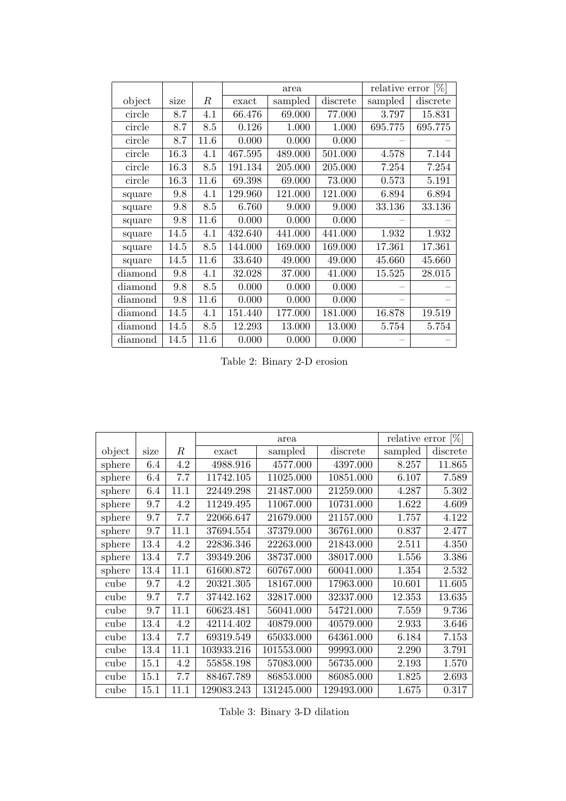|         |      |      | area    |         |          | relative error $[\%]$ |          |
|---------|------|------|---------|---------|----------|-----------------------|----------|
| object  | size | R    | exact   | sampled | discrete | sampled               | discrete |
| circle  | 8.7  | 4.1  | 66.476  | 69.000  | 77.000   | 3.797                 | 15.831   |
| circle  | 8.7  | 8.5  | 0.126   | 1.000   | 1.000    | 695.775               | 695.775  |
| circle  | 8.7  | 11.6 | 0.000   | 0.000   | 0.000    |                       |          |
| circle  | 16.3 | 4.1  | 467.595 | 489.000 | 501.000  | 4.578                 | 7.144    |
| circle  | 16.3 | 8.5  | 191.134 | 205.000 | 205.000  | 7.254                 | 7.254    |
| circle  | 16.3 | 11.6 | 69.398  | 69.000  | 73.000   | 0.573                 | 5.191    |
| square  | 9.8  | 4.1  | 129.960 | 121.000 | 121.000  | 6.894                 | 6.894    |
| square  | 9.8  | 8.5  | 6.760   | 9.000   | 9.000    | 33.136                | 33.136   |
| square  | 9.8  | 11.6 | 0.000   | 0.000   | 0.000    |                       |          |
| square  | 14.5 | 4.1  | 432.640 | 441.000 | 441.000  | 1.932                 | 1.932    |
| square  | 14.5 | 8.5  | 144.000 | 169.000 | 169.000  | 17.361                | 17.361   |
| square  | 14.5 | 11.6 | 33.640  | 49.000  | 49.000   | 45.660                | 45.660   |
| diamond | 9.8  | 4.1  | 32.028  | 37.000  | 41.000   | 15.525                | 28.015   |
| diamond | 9.8  | 8.5  | 0.000   | 0.000   | 0.000    |                       |          |
| diamond | 9.8  | 11.6 | 0.000   | 0.000   | 0.000    |                       |          |
| diamond | 14.5 | 4.1  | 151.440 | 177.000 | 181.000  | 16.878                | 19.519   |
| diamond | 14.5 | 8.5  | 12.293  | 13.000  | 13.000   | 5.754                 | 5.754    |
| diamond | 14.5 | 11.6 | 0.000   | 0.000   | 0.000    |                       |          |

Table 2: Binary 2-D erosion

|        |      |      | area       |            |            | relative error $[\%]$ |          |
|--------|------|------|------------|------------|------------|-----------------------|----------|
| object | size | R    | exact      | sampled    | discrete   | sampled               | discrete |
| sphere | 6.4  | 4.2  | 4988.916   | 4577.000   | 4397.000   | 8.257                 | 11.865   |
| sphere | 6.4  | 7.7  | 11742.105  | 11025.000  | 10851.000  | 6.107                 | 7.589    |
| sphere | 6.4  | 11.1 | 22449.298  | 21487.000  | 21259.000  | 4.287                 | 5.302    |
| sphere | 9.7  | 4.2  | 11249.495  | 11067.000  | 10731.000  | 1.622                 | 4.609    |
| sphere | 9.7  | 7.7  | 22066.647  | 21679.000  | 21157.000  | 1.757                 | 4.122    |
| sphere | 9.7  | 11.1 | 37694.554  | 37379.000  | 36761.000  | 0.837                 | 2.477    |
| sphere | 13.4 | 4.2  | 22836.346  | 22263.000  | 21843.000  | 2.511                 | 4.350    |
| sphere | 13.4 | 7.7  | 39349.206  | 38737.000  | 38017.000  | 1.556                 | 3.386    |
| sphere | 13.4 | 11.1 | 61600.872  | 60767.000  | 60041.000  | 1.354                 | 2.532    |
| cube   | 9.7  | 4.2  | 20321.305  | 18167.000  | 17963.000  | 10.601                | 11.605   |
| cube   | 9.7  | 7.7  | 37442.162  | 32817.000  | 32337.000  | 12.353                | 13.635   |
| cube   | 9.7  | 11.1 | 60623.481  | 56041.000  | 54721.000  | 7.559                 | 9.736    |
| cube   | 13.4 | 4.2  | 42114.402  | 40879.000  | 40579.000  | 2.933                 | 3.646    |
| cube   | 13.4 | 7.7  | 69319.549  | 65033.000  | 64361.000  | 6.184                 | 7.153    |
| cube   | 13.4 | 11.1 | 103933.216 | 101553.000 | 99993.000  | 2.290                 | 3.791    |
| cube   | 15.1 | 4.2  | 55858.198  | 57083.000  | 56735.000  | 2.193                 | 1.570    |
| cube   | 15.1 | 7.7  | 88467.789  | 86853.000  | 86085.000  | 1.825                 | 2.693    |
| cube   | 15.1 | 11.1 | 129083.243 | 131245.000 | 129493.000 | 1.675                 | 0.317    |

Table 3: Binary 3-D dilation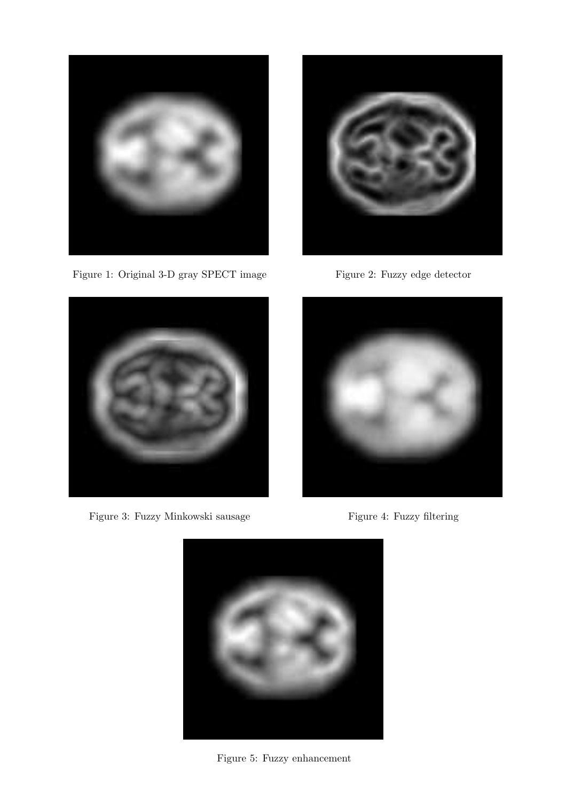

Figure 1: Original 3-D gray SPECT image Figure 2: Fuzzy edge detector



Figure 3: Fuzzy Minkowski sausage Figure 4: Fuzzy filtering







Figure 5: Fuzzy enhancement